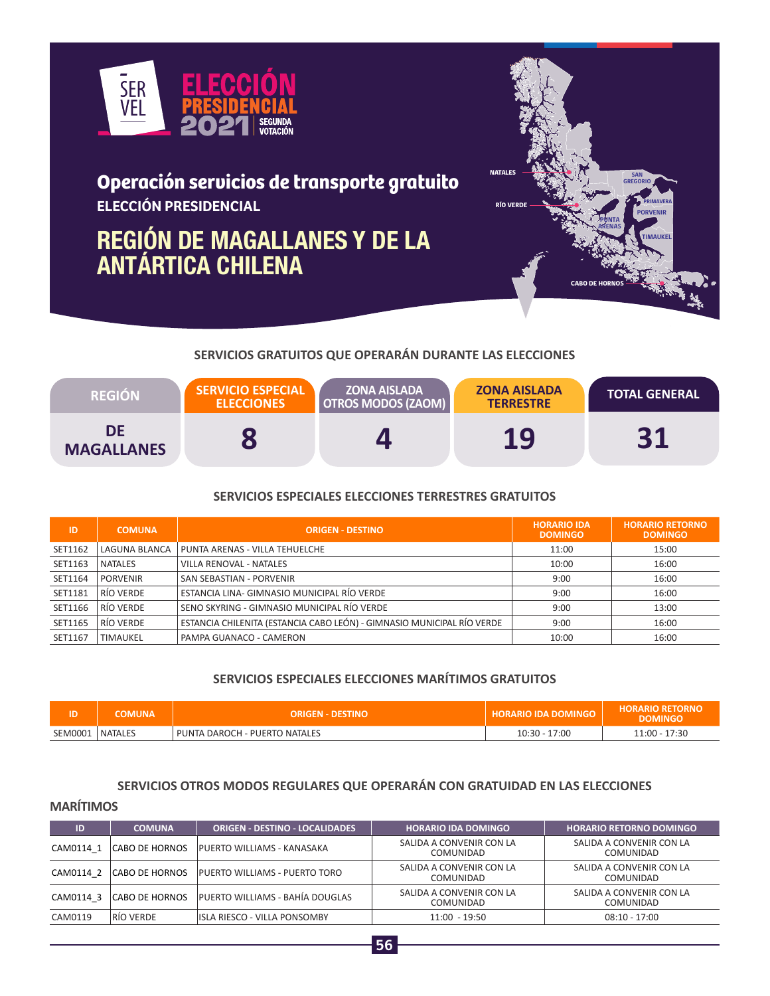

# **Operación servicios de transporte gratuito ELECCIÓN PRESIDENCIAL**

# **REGIÓN DE MAGALLANES Y DE LA ANTÁRTICA CHILENA**



# **SERVICIOS GRATUITOS QUE OPERARÁN DURANTE LAS ELECCIONES**

| <b>REGION</b>           | <b>SERVICIO ESPECIAL</b><br><b>ELECCIONES</b> | <b>ZONA AISLADA</b><br><b>OTROS MODOS (ZAOM)</b> | <b>ZONA AISLADA</b><br><b>TERRESTRE</b> | <b>TOTAL GENERAL</b> |
|-------------------------|-----------------------------------------------|--------------------------------------------------|-----------------------------------------|----------------------|
| DE<br><b>MAGALLANES</b> |                                               |                                                  | 19                                      | 94                   |

### **SERVICIOS ESPECIALES ELECCIONES TERRESTRES GRATUITOS**

| ID      | <b>COMUNA</b>   | <b>ORIGEN - DESTINO</b>                                                | <b>HORARIO IDA</b><br><b>DOMINGO</b> | <b>HORARIO RETORNO</b><br><b>DOMINGO</b> |
|---------|-----------------|------------------------------------------------------------------------|--------------------------------------|------------------------------------------|
| SET1162 | LAGUNA BLANCA   | PUNTA ARENAS - VILLA TEHUELCHE                                         | 11:00                                | 15:00                                    |
| SET1163 | NATALES         | VILLA RENOVAL - NATALES                                                | 10:00                                | 16:00                                    |
| SET1164 | <b>PORVENIR</b> | SAN SEBASTIAN - PORVENIR                                               | 9:00                                 | 16:00                                    |
| SET1181 | RÍO VERDE       | ESTANCIA LINA- GIMNASIO MUNICIPAL RÍO VERDE                            | 9:00                                 | 16:00                                    |
| SET1166 | RÍO VERDE       | SENO SKYRING - GIMNASIO MUNICIPAL RÍO VERDE                            | 9:00                                 | 13:00                                    |
| SET1165 | RÍO VERDE       | ESTANCIA CHILENITA (ESTANCIA CABO LEÓN) - GIMNASIO MUNICIPAL RÍO VERDE | 9:00                                 | 16:00                                    |
| SET1167 | <b>TIMAUKEL</b> | PAMPA GUANACO - CAMERON                                                | 10:00                                | 16:00                                    |

## **SERVICIOS ESPECIALES ELECCIONES MARÍTIMOS GRATUITOS**

| םו י    | <b>COMUNA</b>  | <b>ORIGEN - DESTINO</b>       | <b>HORARIO IDA DOMINGO</b> | <b>HORARIO RETORNO</b><br><b>DOMINGO</b> |
|---------|----------------|-------------------------------|----------------------------|------------------------------------------|
| SEM0001 | <b>NATALES</b> | PUNTA DAROCH - PUERTO NATALES | $10:30 - 17:00$            | 11:00 - 17:30                            |

#### **SERVICIOS OTROS MODOS REGULARES QUE OPERARÁN CON GRATUIDAD EN LAS ELECCIONES**

#### **MARÍTIMOS**

| ID        | <b>COMUNA</b>         | <b>ORIGEN - DESTINO - LOCALIDADES</b> | <b>HORARIO IDA DOMINGO</b>                   | <b>HORARIO RETORNO DOMINGO</b>               |
|-----------|-----------------------|---------------------------------------|----------------------------------------------|----------------------------------------------|
| CAM0114 1 | CABO DE HORNOS        | PUERTO WILLIAMS - KANASAKA            | SALIDA A CONVENIR CON LA<br><b>COMUNIDAD</b> | SALIDA A CONVENIR CON LA<br><b>COMUNIDAD</b> |
| CAM0114 2 | <b>CABO DE HORNOS</b> | PUERTO WILLIAMS - PUERTO TORO         | SALIDA A CONVENIR CON LA<br>COMUNIDAD        | SALIDA A CONVENIR CON LA<br><b>COMUNIDAD</b> |
| CAM0114 3 | <b>CABO DE HORNOS</b> | PUERTO WILLIAMS - BAHÍA DOUGLAS       | SALIDA A CONVENIR CON LA<br>COMUNIDAD        | SALIDA A CONVENIR CON LA<br>COMUNIDAD        |
| CAM0119   | <b>RÍO VERDE</b>      | IISLA RIESCO - VILLA PONSOMBY         | $11:00 - 19:50$                              | $08:10 - 17:00$                              |